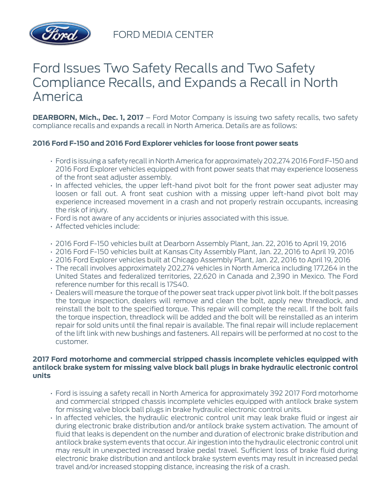

FORD MEDIA CENTER

# Ford Issues Two Safety Recalls and Two Safety Compliance Recalls, and Expands a Recall in North America

**DEARBORN, Mich., Dec. 1, 2017** – Ford Motor Company is issuing two safety recalls, two safety compliance recalls and expands a recall in North America. Details are as follows:

# **2016 Ford F-150 and 2016 Ford Explorer vehicles for loose front power seats**

- Ford is issuing a safety recall in North America for approximately 202,274 2016 Ford F-150 and 2016 Ford Explorer vehicles equipped with front power seats that may experience looseness of the front seat adjuster assembly.
- In affected vehicles, the upper left-hand pivot bolt for the front power seat adjuster may loosen or fall out. A front seat cushion with a missing upper left-hand pivot bolt may experience increased movement in a crash and not properly restrain occupants, increasing the risk of injury.
- Ford is not aware of any accidents or injuries associated with this issue.
- Affected vehicles include:
- 2016 Ford F-150 vehicles built at Dearborn Assembly Plant, Jan. 22, 2016 to April 19, 2016
- 2016 Ford F-150 vehicles built at Kansas City Assembly Plant, Jan. 22, 2016 to April 19, 2016
- 2016 Ford Explorer vehicles built at Chicago Assembly Plant, Jan. 22, 2016 to April 19, 2016
- The recall involves approximately 202,274 vehicles in North America including 177,264 in the United States and federalized territories, 22,620 in Canada and 2,390 in Mexico. The Ford reference number for this recall is 17S40.
- Dealers will measure the torque of the power seat track upper pivot link bolt. If the bolt passes the torque inspection, dealers will remove and clean the bolt, apply new threadlock, and reinstall the bolt to the specified torque. This repair will complete the recall. If the bolt fails the torque inspection, threadlock will be added and the bolt will be reinstalled as an interim repair for sold units until the final repair is available. The final repair will include replacement of the lift link with new bushings and fasteners. All repairs will be performed at no cost to the customer.

#### **2017 Ford motorhome and commercial stripped chassis incomplete vehicles equipped with antilock brake system for missing valve block ball plugs in brake hydraulic electronic control units**

- Ford is issuing a safety recall in North America for approximately 392 2017 Ford motorhome and commercial stripped chassis incomplete vehicles equipped with antilock brake system for missing valve block ball plugs in brake hydraulic electronic control units.
- In affected vehicles, the hydraulic electronic control unit may leak brake fluid or ingest air during electronic brake distribution and/or antilock brake system activation. The amount of fluid that leaks is dependent on the number and duration of electronic brake distribution and antilock brake system events that occur. Air ingestion into the hydraulic electronic control unit may result in unexpected increased brake pedal travel. Sufficient loss of brake fluid during electronic brake distribution and antilock brake system events may result in increased pedal travel and/or increased stopping distance, increasing the risk of a crash.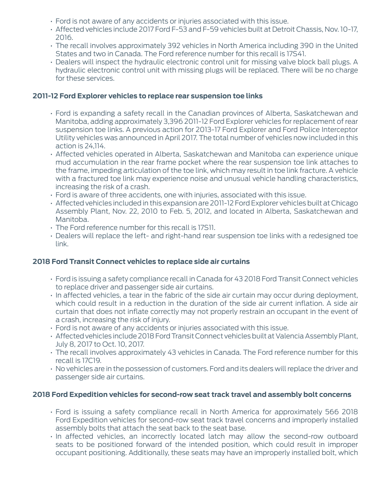- Ford is not aware of any accidents or injuries associated with this issue.
- Affected vehicles include 2017 Ford F-53 and F-59 vehicles built at Detroit Chassis, Nov. 10-17, 2016.
- The recall involves approximately 392 vehicles in North America including 390 in the United States and two in Canada. The Ford reference number for this recall is 17S41.
- Dealers will inspect the hydraulic electronic control unit for missing valve block ball plugs. A hydraulic electronic control unit with missing plugs will be replaced. There will be no charge for these services.

#### **2011-12 Ford Explorer vehicles to replace rear suspension toe links**

- Ford is expanding a safety recall in the Canadian provinces of Alberta, Saskatchewan and Manitoba, adding approximately 3,396 2011-12 Ford Explorer vehicles for replacement of rear suspension toe links. A previous action for 2013-17 Ford Explorer and Ford Police Interceptor Utility vehicles was announced in April 2017. The total number of vehicles now included in this action is 24,114.
- Affected vehicles operated in Alberta, Saskatchewan and Manitoba can experience unique mud accumulation in the rear frame pocket where the rear suspension toe link attaches to the frame, impeding articulation of the toe link, which may result in toe link fracture. A vehicle with a fractured toe link may experience noise and unusual vehicle handling characteristics, increasing the risk of a crash.
- Ford is aware of three accidents, one with injuries, associated with this issue.
- Affected vehicles included in this expansion are 2011-12 Ford Explorer vehicles built at Chicago Assembly Plant, Nov. 22, 2010 to Feb. 5, 2012, and located in Alberta, Saskatchewan and Manitoba.
- The Ford reference number for this recall is 17S11.
- Dealers will replace the left- and right-hand rear suspension toe links with a redesigned toe link.

## **2018 Ford Transit Connect vehicles to replace side air curtains**

- Ford is issuing a safety compliance recall in Canada for 43 2018 Ford Transit Connect vehicles to replace driver and passenger side air curtains.
- In affected vehicles, a tear in the fabric of the side air curtain may occur during deployment, which could result in a reduction in the duration of the side air current inflation. A side air curtain that does not inflate correctly may not properly restrain an occupant in the event of a crash, increasing the risk of injury.
- Ford is not aware of any accidents or injuries associated with this issue.
- Affected vehicles include 2018 Ford Transit Connect vehicles built at Valencia Assembly Plant, July 8, 2017 to Oct. 10, 2017.
- The recall involves approximately 43 vehicles in Canada. The Ford reference number for this recall is 17C19.
- No vehicles are in the possession of customers. Ford and its dealers will replace the driver and passenger side air curtains.

## **2018 Ford Expedition vehicles for second-row seat track travel and assembly bolt concerns**

- Ford is issuing a safety compliance recall in North America for approximately 566 2018 Ford Expedition vehicles for second-row seat track travel concerns and improperly installed assembly bolts that attach the seat back to the seat base.
- In affected vehicles, an incorrectly located latch may allow the second-row outboard seats to be positioned forward of the intended position, which could result in improper occupant positioning. Additionally, these seats may have an improperly installed bolt, which